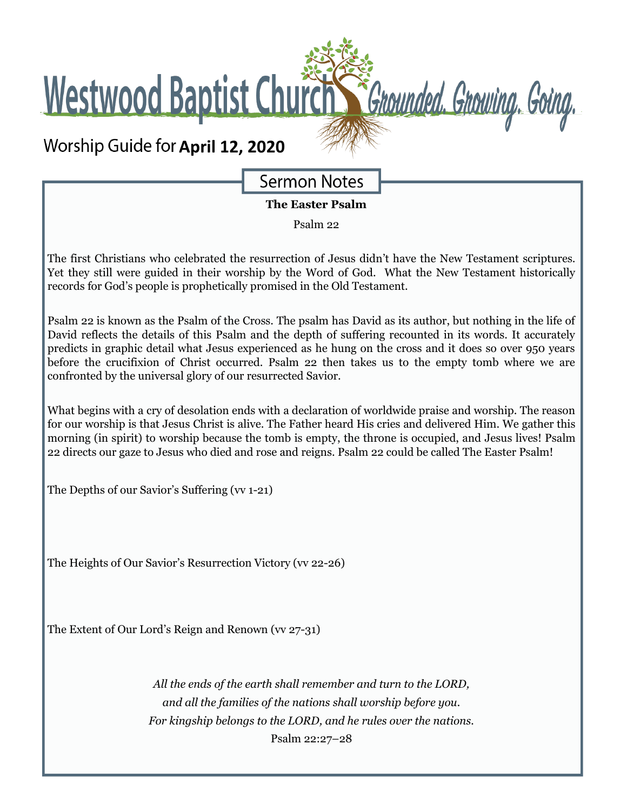Westwood Baptist Church St Grounded. Growing. Going.

# **Worship Guide for April 12, 2020**

**Sermon Notes** 

**The Easter Psalm**

Psalm 22

The first Christians who celebrated the resurrection of Jesus didn't have the New Testament scriptures. Yet they still were guided in their worship by the Word of God. What the New Testament historically records for God's people is prophetically promised in the Old Testament.

Psalm 22 is known as the Psalm of the Cross. The psalm has David as its author, but nothing in the life of David reflects the details of this Psalm and the depth of suffering recounted in its words. It accurately predicts in graphic detail what Jesus experienced as he hung on the cross and it does so over 950 years before the crucifixion of Christ occurred. Psalm 22 then takes us to the empty tomb where we are confronted by the universal glory of our resurrected Savior.

What begins with a cry of desolation ends with a declaration of worldwide praise and worship. The reason for our worship is that Jesus Christ is alive. The Father heard His cries and delivered Him. We gather this morning (in spirit) to worship because the tomb is empty, the throne is occupied, and Jesus lives! Psalm 22 directs our gaze to Jesus who died and rose and reigns. Psalm 22 could be called The Easter Psalm!

The Depths of our Savior's Suffering (vv 1-21)

The Heights of Our Savior's Resurrection Victory (vv 22-26)

The Extent of Our Lord's Reign and Renown (vv 27-31)

*All the ends of the earth shall remember and turn to the LORD, and all the families of the nations shall worship before you. For kingship belongs to the LORD, and he rules over the nations.* Psalm 22:27–28